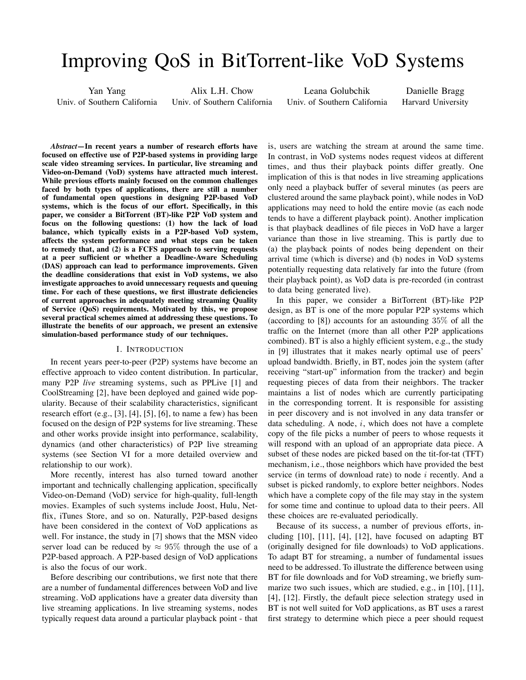# Improving QoS in BitTorrent-like VoD Systems

Yan Yang Univ. of Southern California Alix L.H. Chow

Univ. of Southern California

Leana Golubchik Univ. of Southern California

Danielle Bragg Harvard University

*Abstract***—In recent years a number of research efforts have focused on effective use of P2P-based systems in providing large scale video streaming services. In particular, live streaming and Video-on-Demand (VoD) systems have attracted much interest. While previous efforts mainly focused on the common challenges faced by both types of applications, there are still a number of fundamental open questions in designing P2P-based VoD systems, which is the focus of our effort. Specifically, in this paper, we consider a BitTorrent (BT)-like P2P VoD system and focus on the following questions: (1) how the lack of load balance, which typically exists in a P2P-based VoD system, affects the system performance and what steps can be taken to remedy that, and (2) is a FCFS approach to serving requests at a peer sufficient or whether a Deadline-Aware Scheduling (DAS) approach can lead to performance improvements. Given the deadline considerations that exist in VoD systems, we also investigate approaches to avoid unnecessary requests and queuing time. For each of these questions, we first illustrate deficiencies of current approaches in adequately meeting streaming Quality of Service (QoS) requirements. Motivated by this, we propose several practical schemes aimed at addressing these questions. To illustrate the benefits of our approach, we present an extensive simulation-based performance study of our techniques.**

## I. INTRODUCTION

In recent years peer-to-peer (P2P) systems have become an effective approach to video content distribution. In particular, many P2P *live* streaming systems, such as PPLive [1] and CoolStreaming [2], have been deployed and gained wide popularity. Because of their scalability characteristics, significant research effort  $(e.g., [3], [4], [5], [6]$ , to name a few) has been focused on the design of P2P systems for live streaming. These and other works provide insight into performance, scalability, dynamics (and other characteristics) of P2P live streaming systems (see Section VI for a more detailed overview and relationship to our work).

More recently, interest has also turned toward another important and technically challenging application, specifically Video-on-Demand (VoD) service for high-quality, full-length movies. Examples of such systems include Joost, Hulu, Netflix, iTunes Store, and so on. Naturally, P2P-based designs have been considered in the context of VoD applications as well. For instance, the study in [7] shows that the MSN video server load can be reduced by  $\approx 95\%$  through the use of a P2P-based approach. A P2P-based design of VoD applications is also the focus of our work.

Before describing our contributions, we first note that there are a number of fundamental differences between VoD and live streaming. VoD applications have a greater data diversity than live streaming applications. In live streaming systems, nodes typically request data around a particular playback point - that is, users are watching the stream at around the same time. In contrast, in VoD systems nodes request videos at different times, and thus their playback points differ greatly. One implication of this is that nodes in live streaming applications only need a playback buffer of several minutes (as peers are clustered around the same playback point), while nodes in VoD applications may need to hold the entire movie (as each node tends to have a different playback point). Another implication is that playback deadlines of file pieces in VoD have a larger variance than those in live streaming. This is partly due to (a) the playback points of nodes being dependent on their arrival time (which is diverse) and (b) nodes in VoD systems potentially requesting data relatively far into the future (from their playback point), as VoD data is pre-recorded (in contrast to data being generated live).

In this paper, we consider a BitTorrent (BT)-like P2P design, as BT is one of the more popular P2P systems which (according to  $[8]$ ) accounts for an astounding  $35\%$  of all the traffic on the Internet (more than all other P2P applications combined). BT is also a highly efficient system, e.g., the study in [9] illustrates that it makes nearly optimal use of peers' upload bandwidth. Briefly, in BT, nodes join the system (after receiving "start-up" information from the tracker) and begin requesting pieces of data from their neighbors. The tracker maintains a list of nodes which are currently participating in the corresponding torrent. It is responsible for assisting in peer discovery and is not involved in any data transfer or data scheduling. A node,  $i$ , which does not have a complete copy of the file picks a number of peers to whose requests it will respond with an upload of an appropriate data piece. A subset of these nodes are picked based on the tit-for-tat (TFT) mechanism, i.e., those neighbors which have provided the best service (in terms of download rate) to node  $i$  recently. And a subset is picked randomly, to explore better neighbors. Nodes which have a complete copy of the file may stay in the system for some time and continue to upload data to their peers. All these choices are re-evaluated periodically.

Because of its success, a number of previous efforts, including [10], [11], [4], [12], have focused on adapting BT (originally designed for file downloads) to VoD applications. To adapt BT for streaming, a number of fundamental issues need to be addressed. To illustrate the difference between using BT for file downloads and for VoD streaming, we briefly summarize two such issues, which are studied, e.g., in [10], [11], [4], [12]. Firstly, the default piece selection strategy used in BT is not well suited for VoD applications, as BT uses a rarest first strategy to determine which piece a peer should request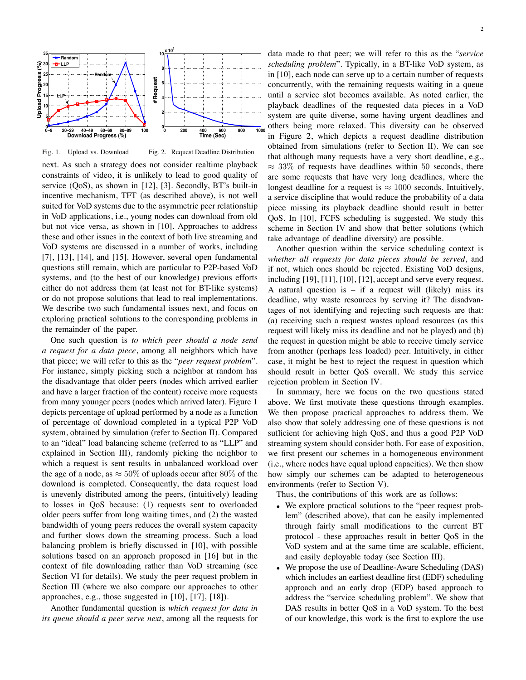

Fig. 1. Upload vs. Download

Fig. 2. Request Deadline Distribution

next. As such a strategy does not consider realtime playback constraints of video, it is unlikely to lead to good quality of service (QoS), as shown in [12], [3]. Secondly, BT's built-in incentive mechanism, TFT (as described above), is not well suited for VoD systems due to the asymmetric peer relationship in VoD applications, i.e., young nodes can download from old but not vice versa, as shown in [10]. Approaches to address these and other issues in the context of both live streaming and VoD systems are discussed in a number of works, including [7], [13], [14], and [15]. However, several open fundamental questions still remain, which are particular to P2P-based VoD systems, and (to the best of our knowledge) previous efforts either do not address them (at least not for BT-like systems) or do not propose solutions that lead to real implementations. We describe two such fundamental issues next, and focus on exploring practical solutions to the corresponding problems in the remainder of the paper.

One such question is *to which peer should a node send a request for a data piece*, among all neighbors which have that piece; we will refer to this as the "*peer request problem*". For instance, simply picking such a neighbor at random has the disadvantage that older peers (nodes which arrived earlier and have a larger fraction of the content) receive more requests from many younger peers (nodes which arrived later). Figure 1 depicts percentage of upload performed by a node as a function of percentage of download completed in a typical P2P VoD system, obtained by simulation (refer to Section II). Compared to an "ideal" load balancing scheme (referred to as "LLP" and explained in Section III), randomly picking the neighbor to which a request is sent results in unbalanced workload over the age of a node, as  $\approx 50\%$  of uploads occur after 80% of the download is completed. Consequently, the data request load is unevenly distributed among the peers, (intuitively) leading to losses in QoS because: (1) requests sent to overloaded older peers suffer from long waiting times, and (2) the wasted bandwidth of young peers reduces the overall system capacity and further slows down the streaming process. Such a load balancing problem is briefly discussed in [10], with possible solutions based on an approach proposed in [16] but in the context of file downloading rather than VoD streaming (see Section VI for details). We study the peer request problem in Section III (where we also compare our approaches to other approaches, e.g., those suggested in [10], [17], [18]).

Another fundamental question is *which request for data in its queue should a peer serve next*, among all the requests for

data made to that peer; we will refer to this as the "*service scheduling problem*". Typically, in a BT-like VoD system, as in [10], each node can serve up to a certain number of requests concurrently, with the remaining requests waiting in a queue until a service slot becomes available. As noted earlier, the playback deadlines of the requested data pieces in a VoD system are quite diverse, some having urgent deadlines and others being more relaxed. This diversity can be observed in Figure 2, which depicts a request deadline distribution obtained from simulations (refer to Section II). We can see that although many requests have a very short deadline, e.g.,  $\approx 33\%$  of requests have deadlines within 50 seconds, there are some requests that have very long deadlines, where the longest deadline for a request is  $\approx 1000$  seconds. Intuitively, a service discipline that would reduce the probability of a data piece missing its playback deadline should result in better QoS. In [10], FCFS scheduling is suggested. We study this scheme in Section IV and show that better solutions (which take advantage of deadline diversity) are possible.

Another question within the service scheduling context is *whether all requests for data pieces should be served*, and if not, which ones should be rejected. Existing VoD designs, including [19], [11], [10], [12], accept and serve every request. A natural question is – if a request will (likely) miss its deadline, why waste resources by serving it? The disadvantages of not identifying and rejecting such requests are that: (a) receiving such a request wastes upload resources (as this request will likely miss its deadline and not be played) and (b) the request in question might be able to receive timely service from another (perhaps less loaded) peer. Intuitively, in either case, it might be best to reject the request in question which should result in better QoS overall. We study this service rejection problem in Section IV.

In summary, here we focus on the two questions stated above. We first motivate these questions through examples. We then propose practical approaches to address them. We also show that solely addressing one of these questions is not sufficient for achieving high QoS, and thus a good P2P VoD streaming system should consider both. For ease of exposition, we first present our schemes in a homogeneous environment (i.e., where nodes have equal upload capacities). We then show how simply our schemes can be adapted to heterogeneous environments (refer to Section V).

Thus, the contributions of this work are as follows:

- We explore practical solutions to the "peer request problem" (described above), that can be easily implemented through fairly small modifications to the current BT protocol - these approaches result in better QoS in the VoD system and at the same time are scalable, efficient, and easily deployable today (see Section III).
- We propose the use of Deadline-Aware Scheduling (DAS) which includes an earliest deadline first (EDF) scheduling approach and an early drop (EDP) based approach to address the "service scheduling problem". We show that DAS results in better QoS in a VoD system. To the best of our knowledge, this work is the first to explore the use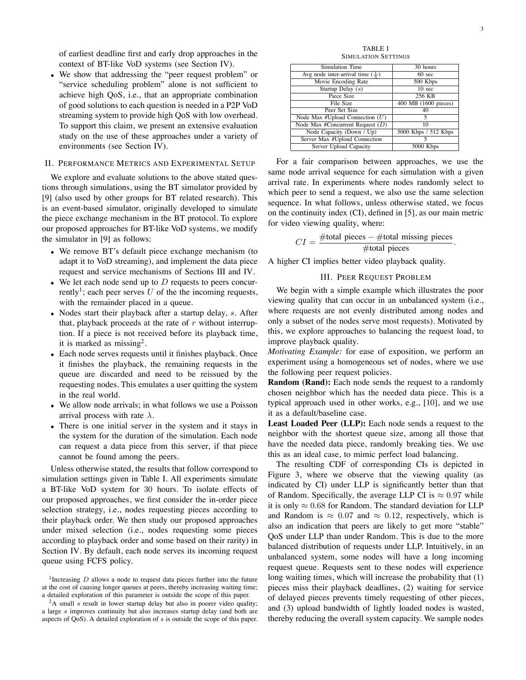of earliest deadline first and early drop approaches in the context of BT-like VoD systems (see Section IV).

• We show that addressing the "peer request problem" or "service scheduling problem" alone is not sufficient to achieve high QoS, i.e., that an appropriate combination of good solutions to each question is needed in a P2P VoD streaming system to provide high QoS with low overhead. To support this claim, we present an extensive evaluation study on the use of these approaches under a variety of environments (see Section IV).

### II. PERFORMANCE METRICS AND EXPERIMENTAL SETUP

We explore and evaluate solutions to the above stated questions through simulations, using the BT simulator provided by [9] (also used by other groups for BT related research). This is an event-based simulator, originally developed to simulate the piece exchange mechanism in the BT protocol. To explore our proposed approaches for BT-like VoD systems, we modify the simulator in [9] as follows:

- We remove BT's default piece exchange mechanism (to adapt it to VoD streaming), and implement the data piece request and service mechanisms of Sections III and IV.
- We let each node send up to  $D$  requests to peers concurrently<sup>1</sup>; each peer serves U of the the incoming requests, with the remainder placed in a queue.
- Nodes start their playback after a startup delay, s. After that, playback proceeds at the rate of  $r$  without interruption. If a piece is not received before its playback time, it is marked as missing<sup>2</sup>.
- Each node serves requests until it finishes playback. Once it finishes the playback, the remaining requests in the queue are discarded and need to be reissued by the requesting nodes. This emulates a user quitting the system in the real world.
- We allow node arrivals; in what follows we use a Poisson arrival process with rate  $\lambda$ .
- There is one initial server in the system and it stays in the system for the duration of the simulation. Each node can request a data piece from this server, if that piece cannot be found among the peers.

Unless otherwise stated, the results that follow correspond to simulation settings given in Table I. All experiments simulate a BT-like VoD system for 30 hours. To isolate effects of our proposed approaches, we first consider the in-order piece selection strategy, i.e., nodes requesting pieces according to their playback order. We then study our proposed approaches under mixed selection (i.e., nodes requesting some pieces according to playback order and some based on their rarity) in Section IV. By default, each node serves its incoming request queue using FCFS policy.

TABLE I SIMULATION SETTINGS

| <b>Simulation Time</b>                      | 30 hours             |
|---------------------------------------------|----------------------|
| Avg node inter-arrival time $(\frac{1}{2})$ | $60 \text{ sec}$     |
| Movie Encoding Rate                         | 500 Kbps             |
| Startup Delay $(s)$                         | 10 <sub>sec</sub>    |
| Piece Size                                  | 256 KB               |
| File Size                                   | 400 MB (1600 pieces) |
| Peer Set Size                               | 40                   |
| Node Max #Upload Connection $(U)$           | 5                    |
| Node Max #Concurrent Request $(D)$          | 10                   |
| Node Capacity (Down / Up)                   | 5000 Kbps / 512 Kbps |
| Server Max #Upload Connection               |                      |
| Server Upload Capacity                      | 5000 Kbps            |

For a fair comparison between approaches, we use the same node arrival sequence for each simulation with a given arrival rate. In experiments where nodes randomly select to which peer to send a request, we also use the same selection sequence. In what follows, unless otherwise stated, we focus on the continuity index (CI), defined in [5], as our main metric for video viewing quality, where:

$$
CI = \frac{\text{\#total pieces} - \text{\#total missing pieces}}{\text{\#total pieces}}.
$$

A higher CI implies better video playback quality.

## III. PEER REQUEST PROBLEM

We begin with a simple example which illustrates the poor viewing quality that can occur in an unbalanced system (i.e., where requests are not evenly distributed among nodes and only a subset of the nodes serve most requests). Motivated by this, we explore approaches to balancing the request load, to improve playback quality.

*Motivating Example:* for ease of exposition, we perform an experiment using a homogeneous set of nodes, where we use the following peer request policies.

**Random (Rand):** Each node sends the request to a randomly chosen neighbor which has the needed data piece. This is a typical approach used in other works, e.g., [10], and we use it as a default/baseline case.

**Least Loaded Peer (LLP):** Each node sends a request to the neighbor with the shortest queue size, among all those that have the needed data piece, randomly breaking ties. We use this as an ideal case, to mimic perfect load balancing.

The resulting CDF of corresponding CIs is depicted in Figure 3, where we observe that the viewing quality (as indicated by CI) under LLP is significantly better than that of Random. Specifically, the average LLP CI is  $\approx 0.97$  while it is only  $\approx 0.68$  for Random. The standard deviation for LLP and Random is  $\approx 0.07$  and  $\approx 0.12$ , respectively, which is also an indication that peers are likely to get more "stable" QoS under LLP than under Random. This is due to the more balanced distribution of requests under LLP. Intuitively, in an unbalanced system, some nodes will have a long incoming request queue. Requests sent to these nodes will experience long waiting times, which will increase the probability that (1) pieces miss their playback deadlines, (2) waiting for service of delayed pieces prevents timely requesting of other pieces, and (3) upload bandwidth of lightly loaded nodes is wasted, thereby reducing the overall system capacity. We sample nodes

<sup>&</sup>lt;sup>1</sup>Increasing  $D$  allows a node to request data pieces further into the future at the cost of causing longer queues at peers, thereby increasing waiting time; a detailed exploration of this parameter is outside the scope of this paper.

 $2A$  small s result in lower startup delay but also in poorer video quality; a large s improves continuity but also increases startup delay (and both are aspects of QoS). A detailed exploration of s is outside the scope of this paper.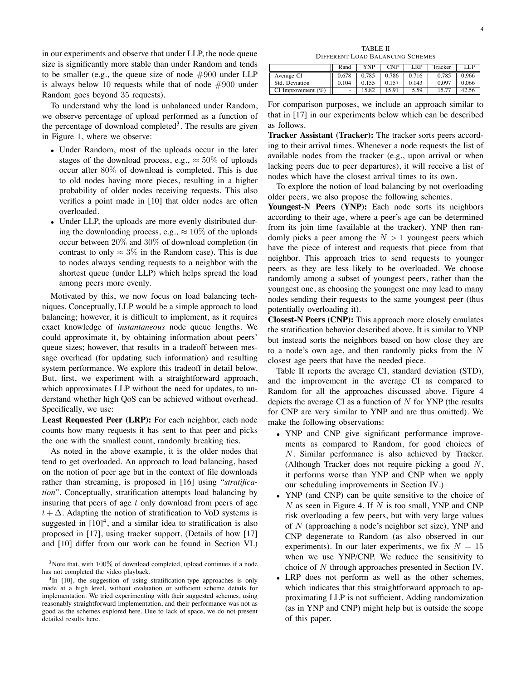in our experiments and observe that under LLP, the node queue size is significantly more stable than under Random and tends to be smaller (e.g., the queue size of node  $\#900$  under LLP is always below 10 requests while that of node  $#900$  under Random goes beyond 35 requests).

To understand why the load is unbalanced under Random, we observe percentage of upload performed as a function of the percentage of download completed<sup>3</sup>. The results are given in Figure 1, where we observe:

- Under Random, most of the uploads occur in the later stages of the download process, e.g.,  $\approx 50\%$  of uploads occur after 80% of download is completed. This is due to old nodes having more pieces, resulting in a higher probability of older nodes receiving requests. This also verifies a point made in [10] that older nodes are often overloaded.
- Under LLP, the uploads are more evenly distributed during the downloading process, e.g.,  $\approx 10\%$  of the uploads occur between 20% and 30% of download completion (in contrast to only  $\approx 3\%$  in the Random case). This is due to nodes always sending requests to a neighbor with the shortest queue (under LLP) which helps spread the load among peers more evenly.

Motivated by this, we now focus on load balancing techniques. Conceptually, LLP would be a simple approach to load balancing; however, it is difficult to implement, as it requires exact knowledge of *instantaneous* node queue lengths. We could approximate it, by obtaining information about peers' queue sizes; however, that results in a tradeoff between message overhead (for updating such information) and resulting system performance. We explore this tradeoff in detail below. But, first, we experiment with a straightforward approach, which approximates LLP without the need for updates, to understand whether high QoS can be achieved without overhead. Specifically, we use:

**Least Requested Peer (LRP):** For each neighbor, each node counts how many requests it has sent to that peer and picks the one with the smallest count, randomly breaking ties.

As noted in the above example, it is the older nodes that tend to get overloaded. An approach to load balancing, based on the notion of peer age but in the context of file downloads rather than streaming, is proposed in [16] using "*stratification*". Conceptually, stratification attempts load balancing by insuring that peers of age t only download from peers of age  $t + \Delta$ . Adapting the notion of stratification to VoD systems is suggested in  $[10]^4$ , and a similar idea to stratification is also proposed in [17], using tracker support. (Details of how [17] and [10] differ from our work can be found in Section VI.)

TABLE II DIFFERENT LOAD BALANCING SCHEMES

|                       | Rand  | YNP   | <b>CNP</b> | ' RP  | Tracker | НP    |
|-----------------------|-------|-------|------------|-------|---------|-------|
| Average CI            | 0.678 | 0.785 | 0.786      | 0.716 | 0.785   | 0.966 |
| Std. Deviation        | 0.104 | 0.155 |            | 0.143 | 0.097   | 0.066 |
| CI Improvement $(\%)$ | ۰     | 5.82  | 1591       | 5.59  |         |       |

For comparison purposes, we include an approach similar to that in [17] in our experiments below which can be described as follows.

**Tracker Assistant (Tracker):** The tracker sorts peers according to their arrival times. Whenever a node requests the list of available nodes from the tracker (e.g., upon arrival or when lacking peers due to peer departures), it will receive a list of nodes which have the closest arrival times to its own.

To explore the notion of load balancing by not overloading older peers, we also propose the following schemes.

Youngest-N Peers (YNP): Each node sorts its neighbors according to their age, where a peer's age can be determined from its join time (available at the tracker). YNP then randomly picks a peer among the  $N > 1$  youngest peers which have the piece of interest and requests that piece from that neighbor. This approach tries to send requests to younger peers as they are less likely to be overloaded. We choose randomly among a subset of youngest peers, rather than the youngest one, as choosing the youngest one may lead to many nodes sending their requests to the same youngest peer (thus potentially overloading it).

**Closest-N Peers (CNP):** This approach more closely emulates the stratification behavior described above. It is similar to YNP but instead sorts the neighbors based on how close they are to a node's own age, and then randomly picks from the  $N$ closest age peers that have the needed piece.

Table II reports the average CI, standard deviation (STD), and the improvement in the average CI as compared to Random for all the approaches discussed above. Figure 4 depicts the average CI as a function of  $N$  for YNP (the results for CNP are very similar to YNP and are thus omitted). We make the following observations:

- YNP and CNP give significant performance improvements as compared to Random, for good choices of N. Similar performance is also achieved by Tracker. (Although Tracker does not require picking a good N, it performs worse than YNP and CNP when we apply our scheduling improvements in Section IV.)
- YNP (and CNP) can be quite sensitive to the choice of  $N$  as seen in Figure 4. If  $N$  is too small, YNP and CNP risk overloading a few peers, but with very large values of  $N$  (approaching a node's neighbor set size), YNP and CNP degenerate to Random (as also observed in our experiments). In our later experiments, we fix  $N = 15$ when we use YNP/CNP. We reduce the sensitivity to choice of N through approaches presented in Section IV.
- LRP does not perform as well as the other schemes, which indicates that this straightforward approach to approximating LLP is not sufficient. Adding randomization (as in YNP and CNP) might help but is outside the scope of this paper.

 $3$ Note that, with  $100\%$  of download completed, upload continues if a node has not completed the video playback.

<sup>&</sup>lt;sup>4</sup>In [10], the suggestion of using stratification-type approaches is only made at a high level, without evaluation or sufficient scheme details for implementation. We tried experimenting with their suggested schemes, using reasonably straightforward implementation, and their performance was not as good as the schemes explored here. Due to lack of space, we do not present detailed results here.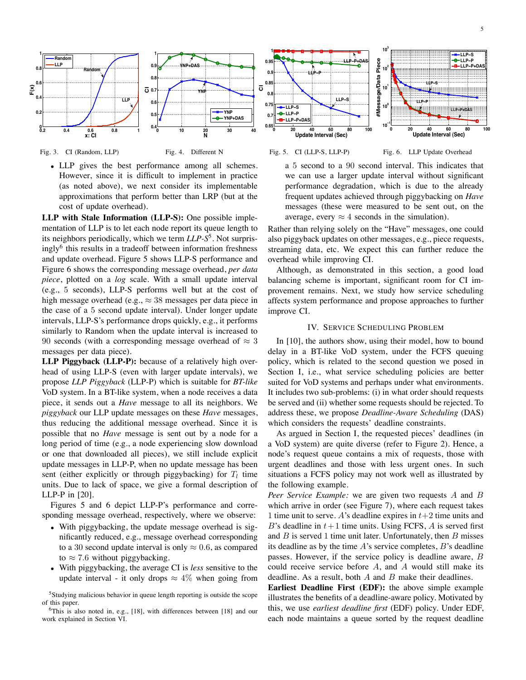



Fig. 4. Different N

• LLP gives the best performance among all schemes. However, since it is difficult to implement in practice (as noted above), we next consider its implementable approximations that perform better than LRP (but at the cost of update overhead).

**LLP with Stale Information (LLP-S):** One possible implementation of LLP is to let each node report its queue length to its neighbors periodically, which we term *LLP-S*5. Not surprisingly<sup>6</sup> this results in a tradeoff between information freshness and update overhead. Figure 5 shows LLP-S performance and Figure 6 shows the corresponding message overhead, *per data piece*, plotted on a *log* scale. With a small update interval (e.g., 5 seconds), LLP-S performs well but at the cost of high message overhead (e.g.,  $\approx 38$  messages per data piece in the case of a 5 second update interval). Under longer update intervals, LLP-S's performance drops quickly, e.g., it performs similarly to Random when the update interval is increased to 90 seconds (with a corresponding message overhead of  $\approx$  3 messages per data piece).

**LLP Piggyback (LLP-P):** because of a relatively high overhead of using LLP-S (even with larger update intervals), we propose *LLP Piggyback* (LLP-P) which is suitable for *BT-like* VoD system. In a BT-like system, when a node receives a data piece, it sends out a *Have* message to all its neighbors. We *piggyback* our LLP update messages on these *Have* messages, thus reducing the additional message overhead. Since it is possible that no *Have* message is sent out by a node for a long period of time (e.g., a node experiencing slow download or one that downloaded all pieces), we still include explicit update messages in LLP-P, when no update message has been sent (either explicitly or through piggybacking) for  $T_l$  time units. Due to lack of space, we give a formal description of LLP-P in [20].

Figures 5 and 6 depict LLP-P's performance and corresponding message overhead, respectively, where we observe:

- With piggybacking, the update message overhead is significantly reduced, e.g., message overhead corresponding to a 30 second update interval is only  $\approx 0.6$ , as compared to  $\approx$  7.6 without piggybacking.
- With piggybacking, the average CI is *less* sensitive to the update interval - it only drops  $\approx 4\%$  when going from

5Studying malicious behavior in queue length reporting is outside the scope of this paper.





Fig. 6. LLP Update Overhead

a 5 second to a 90 second interval. This indicates that we can use a larger update interval without significant performance degradation, which is due to the already frequent updates achieved through piggybacking on *Have* messages (these were measured to be sent out, on the average, every  $\approx 4$  seconds in the simulation).

Rather than relying solely on the "Have" messages, one could also piggyback updates on other messages, e.g., piece requests, streaming data, etc. We expect this can further reduce the overhead while improving CI.

Although, as demonstrated in this section, a good load balancing scheme is important, significant room for CI improvement remains. Next, we study how service scheduling affects system performance and propose approaches to further improve CI.

## IV. SERVICE SCHEDULING PROBLEM

In [10], the authors show, using their model, how to bound delay in a BT-like VoD system, under the FCFS queuing policy, which is related to the second question we posed in Section I, i.e., what service scheduling policies are better suited for VoD systems and perhaps under what environments. It includes two sub-problems: (i) in what order should requests be served and (ii) whether some requests should be rejected. To address these, we propose *Deadline-Aware Scheduling* (DAS) which considers the requests' deadline constraints.

As argued in Section I, the requested pieces' deadlines (in a VoD system) are quite diverse (refer to Figure 2). Hence, a node's request queue contains a mix of requests, those with urgent deadlines and those with less urgent ones. In such situations a FCFS policy may not work well as illustrated by the following example.

*Peer Service Example:* we are given two requests A and B which arrive in order (see Figure 7), where each request takes 1 time unit to serve. A's deadline expires in  $t+2$  time units and B's deadline in  $t+1$  time units. Using FCFS, A is served first and  $B$  is served 1 time unit later. Unfortunately, then  $B$  misses its deadline as by the time  $A$ 's service completes,  $B$ 's deadline passes. However, if the service policy is deadline aware, B could receive service before  $A$ , and  $A$  would still make its deadline. As a result, both  $A$  and  $B$  make their deadlines.

**Earliest Deadline First (EDF):** the above simple example illustrates the benefits of a deadline-aware policy. Motivated by this, we use *earliest deadline first* (EDF) policy. Under EDF, each node maintains a queue sorted by the request deadline

<sup>6</sup>This is also noted in, e.g., [18], with differences between [18] and our work explained in Section VI.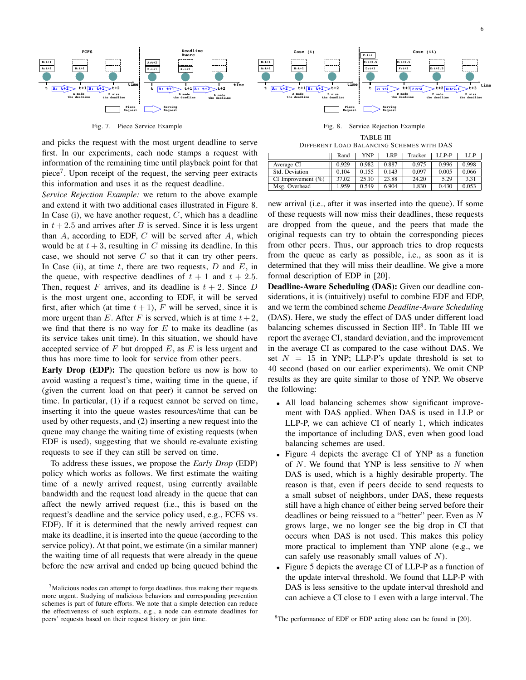

Fig. 7. Piece Service Example

and picks the request with the most urgent deadline to serve first. In our experiments, each node stamps a request with information of the remaining time until playback point for that piece<sup>7</sup>. Upon receipt of the request, the serving peer extracts this information and uses it as the request deadline.

*Service Rejection Example:* we return to the above example and extend it with two additional cases illustrated in Figure 8. In Case (i), we have another request,  $C$ , which has a deadline in  $t + 2.5$  and arrives after B is served. Since it is less urgent than  $A$ , according to EDF,  $C$  will be served after  $A$ , which would be at  $t + 3$ , resulting in C missing its deadline. In this case, we should not serve  $C$  so that it can try other peers. In Case (ii), at time t, there are two requests,  $D$  and  $E$ , in the queue, with respective deadlines of  $t + 1$  and  $t + 2.5$ . Then, request F arrives, and its deadline is  $t + 2$ . Since D is the most urgent one, according to EDF, it will be served first, after which (at time  $t + 1$ ), F will be served, since it is more urgent than E. After F is served, which is at time  $t + 2$ , we find that there is no way for  $E$  to make its deadline (as its service takes unit time). In this situation, we should have accepted service of  $F$  but dropped  $E$ , as  $E$  is less urgent and thus has more time to look for service from other peers.

**Early Drop (EDP):** The question before us now is how to avoid wasting a request's time, waiting time in the queue, if (given the current load on that peer) it cannot be served on time. In particular, (1) if a request cannot be served on time, inserting it into the queue wastes resources/time that can be used by other requests, and (2) inserting a new request into the queue may change the waiting time of existing requests (when EDF is used), suggesting that we should re-evaluate existing requests to see if they can still be served on time.

To address these issues, we propose the *Early Drop* (EDP) policy which works as follows. We first estimate the waiting time of a newly arrived request, using currently available bandwidth and the request load already in the queue that can affect the newly arrived request (i.e., this is based on the request's deadline and the service policy used, e.g., FCFS vs. EDF). If it is determined that the newly arrived request can make its deadline, it is inserted into the queue (according to the service policy). At that point, we estimate (in a similar manner) the waiting time of all requests that were already in the queue before the new arrival and ended up being queued behind the



Fig. 8. Service Rejection Example TABLE III

| DIFFERENT LOAD BALANCING SCHEMES WITH DAS |  |  |
|-------------------------------------------|--|--|
|                                           |  |  |

|                       | Rand  | <b>YNP</b> | LRP   | Tracker | I.P.P | LLP   |
|-----------------------|-------|------------|-------|---------|-------|-------|
| Average CI            | 0.929 | 0.982      | 0.887 | 0.975   | 0.996 | 0.998 |
| Std. Deviation        | 0.104 | 0.155      | 0.143 | 0.097   | 0.005 | 0.066 |
| CI Improvement $(\%)$ | 37.02 | 25.10      | 23.88 | 24.20   | 5.29  | 3.31  |
| Msg. Overhead         | .959  | 0.549      | 6.904 | 1.830   | 0.430 | 0.053 |

new arrival (i.e., after it was inserted into the queue). If some of these requests will now miss their deadlines, these requests are dropped from the queue, and the peers that made the original requests can try to obtain the corresponding pieces from other peers. Thus, our approach tries to drop requests from the queue as early as possible, i.e., as soon as it is determined that they will miss their deadline. We give a more formal description of EDP in [20].

**Deadline-Aware Scheduling (DAS):** Given our deadline considerations, it is (intuitively) useful to combine EDF and EDP, and we term the combined scheme *Deadline-Aware Scheduling* (DAS). Here, we study the effect of DAS under different load balancing schemes discussed in Section III<sup>8</sup>. In Table III we report the average CI, standard deviation, and the improvement in the average CI as compared to the case without DAS. We set  $N = 15$  in YNP; LLP-P's update threshold is set to 40 second (based on our earlier experiments). We omit CNP results as they are quite similar to those of YNP. We observe the following:

- All load balancing schemes show significant improvement with DAS applied. When DAS is used in LLP or LLP-P, we can achieve CI of nearly 1, which indicates the importance of including DAS, even when good load balancing schemes are used.
- Figure 4 depicts the average CI of YNP as a function of  $N$ . We found that YNP is less sensitive to  $N$  when DAS is used, which is a highly desirable property. The reason is that, even if peers decide to send requests to a small subset of neighbors, under DAS, these requests still have a high chance of either being served before their deadlines or being reissued to a "better" peer. Even as N grows large, we no longer see the big drop in CI that occurs when DAS is not used. This makes this policy more practical to implement than YNP alone (e.g., we can safely use reasonably small values of  $N$ ).
- Figure 5 depicts the average CI of LLP-P as a function of the update interval threshold. We found that LLP-P with DAS is less sensitive to the update interval threshold and can achieve a CI close to 1 even with a large interval. The

 $7$ Malicious nodes can attempt to forge deadlines, thus making their requests more urgent. Studying of malicious behaviors and corresponding prevention schemes is part of future efforts. We note that a simple detection can reduce the effectiveness of such exploits, e.g., a node can estimate deadlines for peers' requests based on their request history or join time.

<sup>&</sup>lt;sup>8</sup>The performance of EDF or EDP acting alone can be found in [20].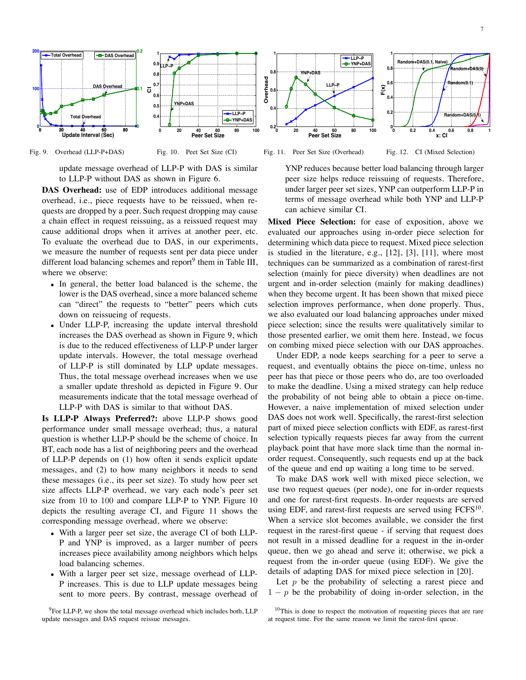7



Fig. 9. Overhead (LLP-P+DAS) Fig. 10. Peet Set Size (CI)

update message overhead of LLP-P with DAS is similar to LLP-P without DAS as shown in Figure 6.

**DAS Overhead:** use of EDP introduces additional message overhead, i.e., piece requests have to be reissued, when requests are dropped by a peer. Such request dropping may cause a chain effect in request reissuing, as a reissued request may cause additional drops when it arrives at another peer, etc. To evaluate the overhead due to DAS, in our experiments, we measure the number of requests sent per data piece under different load balancing schemes and report<sup>9</sup> them in Table III, where we observe:

- In general, the better load balanced is the scheme, the lower is the DAS overhead, since a more balanced scheme can "direct" the requests to "better" peers which cuts down on reissueing of requests.
- Under LLP-P, increasing the update interval threshold increases the DAS overhead as shown in Figure 9, which is due to the reduced effectiveness of LLP-P under larger update intervals. However, the total message overhead of LLP-P is still dominated by LLP update messages. Thus, the total message overhead increases when we use a smaller update threshold as depicted in Figure 9. Our measurements indicate that the total message overhead of LLP-P with DAS is similar to that without DAS.

**Is LLP-P Always Preferred?:** above LLP-P shows good performance under small message overhead; thus, a natural question is whether LLP-P should be the scheme of choice. In BT, each node has a list of neighboring peers and the overhead of LLP-P depends on (1) how often it sends explicit update messages, and (2) to how many neighbors it needs to send these messages (i.e., its peer set size). To study how peer set size affects LLP-P overhead, we vary each node's peer set size from 10 to 100 and compare LLP-P to YNP. Figure 10 depicts the resulting average CI, and Figure 11 shows the corresponding message overhead, where we observe:

- With a larger peer set size, the average CI of both LLP-P and YNP is improved, as a larger number of peers increases piece availability among neighbors which helps load balancing schemes.
- With a larger peer set size, message overhead of LLP-P increases. This is due to LLP update messages being sent to more peers. By contrast, message overhead of

<sup>9</sup>For LLP-P, we show the total message overhead which includes both, LLP update messages and DAS request reissue messages.

Fig. 11. Peer Set Size (Overhead)

Fig. 12. CI (Mixed Selection)

YNP reduces because better load balancing through larger peer size helps reduce reissuing of requests. Therefore, under larger peer set sizes, YNP can outperform LLP-P in terms of message overhead while both YNP and LLP-P can achieve similar CI.

**Mixed Piece Selection:** for ease of exposition, above we evaluated our approaches using in-order piece selection for determining which data piece to request. Mixed piece selection is studied in the literature, e.g., [12], [3], [11], where most techniques can be summarized as a combination of rarest-first selection (mainly for piece diversity) when deadlines are not urgent and in-order selection (mainly for making deadlines) when they become urgent. It has been shown that mixed piece selection improves performance, when done properly. Thus, we also evaluated our load balancing approaches under mixed piece selection; since the results were qualitatively similar to those presented earlier, we omit them here. Instead, we focus on combing mixed piece selection with our DAS approaches.

Under EDP, a node keeps searching for a peer to serve a request, and eventually obtains the piece on-time, unless no peer has that piece or those peers who do, are too overloaded to make the deadline. Using a mixed strategy can help reduce the probability of not being able to obtain a piece on-time. However, a naive implementation of mixed selection under DAS does not work well. Specifically, the rarest-first selection part of mixed piece selection conflicts with EDF, as rarest-first selection typically requests pieces far away from the current playback point that have more slack time than the normal inorder request. Consequently, such requests end up at the back of the queue and end up waiting a long time to be served.

To make DAS work well with mixed piece selection, we use two request queues (per node), one for in-order requests and one for rarest-first requests. In-order requests are served using EDF, and rarest-first requests are served using  $FCFS<sup>10</sup>$ . When a service slot becomes available, we consider the first request in the rarest-first queue - if serving that request does not result in a missed deadline for a request in the in-order queue, then we go ahead and serve it; otherwise, we pick a request from the in-order queue (using EDF). We give the details of adapting DAS for mixed piece selection in [20].

Let  $p$  be the probability of selecting a rarest piece and  $1 - p$  be the probability of doing in-order selection, in the

<sup>&</sup>lt;sup>10</sup>This is done to respect the motivation of requesting pieces that are rare at request time. For the same reason we limit the rarest-first queue.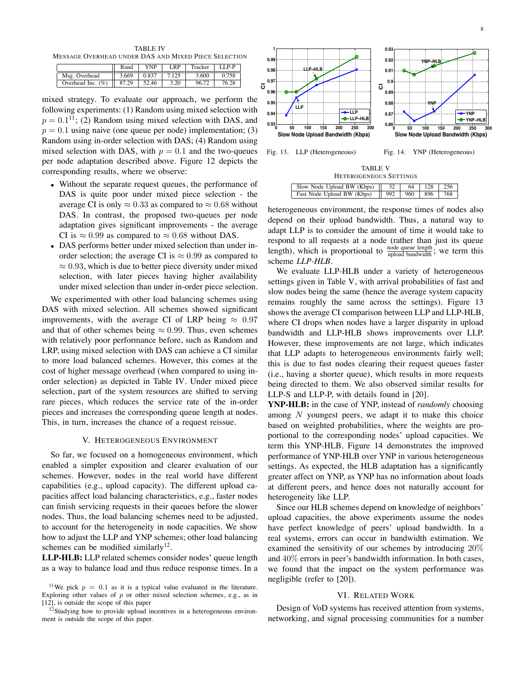TABLE IV MESSAGE OVERHEAD UNDER DAS AND MIXED PIECE SELECTION

|                      | Rand  | YNP   | LRP   | Tracker | $I.I.P-P$ |
|----------------------|-------|-------|-------|---------|-----------|
| Msg. Overhead        | 3.669 | 0.837 | 7.125 | 3.600   | 0.758     |
| Overhead Inc. $(\%)$ | 87.29 | 52.46 | 3.20  | 96.72   | 76.28     |

mixed strategy. To evaluate our approach, we perform the following experiments: (1) Random using mixed selection with  $p = 0.1^{11}$ ; (2) Random using mixed selection with DAS, and  $p = 0.1$  using naive (one queue per node) implementation; (3) Random using in-order selection with DAS; (4) Random using mixed selection with DAS, with  $p = 0.1$  and the two-queues per node adaptation described above. Figure 12 depicts the corresponding results, where we observe:

- Without the separate request queues, the performance of DAS is quite poor under mixed piece selection - the average CI is only  $\approx 0.33$  as compared to  $\approx 0.68$  without DAS. In contrast, the proposed two-queues per node adaptation gives significant improvements - the average CI is  $\approx 0.99$  as compared to  $\approx 0.68$  without DAS.
- DAS performs better under mixed selection than under inorder selection; the average CI is  $\approx 0.99$  as compared to  $\approx 0.93$ , which is due to better piece diversity under mixed selection, with later pieces having higher availability under mixed selection than under in-order piece selection.

We experimented with other load balancing schemes using DAS with mixed selection. All schemes showed significant improvements, with the average CI of LRP being  $\approx 0.97$ and that of other schemes being  $\approx 0.99$ . Thus, even schemes with relatively poor performance before, such as Random and LRP, using mixed selection with DAS can achieve a CI similar to more load balanced schemes. However, this comes at the cost of higher message overhead (when compared to using inorder selection) as depicted in Table IV. Under mixed piece selection, part of the system resources are shifted to serving rare pieces, which reduces the service rate of the in-order pieces and increases the corresponding queue length at nodes. This, in turn, increases the chance of a request reissue.

#### V. HETEROGENEOUS ENVIRONMENT

So far, we focused on a homogeneous environment, which enabled a simpler exposition and clearer evaluation of our schemes. However, nodes in the real world have different capabilities (e.g., upload capacity). The different upload capacities affect load balancing characteristics, e.g., faster nodes can finish servicing requests in their queues before the slower nodes. Thus, the load balancing schemes need to be adjusted, to account for the heterogeneity in node capacities. We show how to adjust the LLP and YNP schemes; other load balancing schemes can be modified similarly<sup>12</sup>.

**LLP-HLB:** LLP related schemes consider nodes' queue length as a way to balance load and thus reduce response times. In a



Fig. 13. LLP (Heterogeneous)

Fig. 14. YNP (Heterogeneous)

TABLE V HETEROGENEOUS SETTINGS

| 1121 280 328 328 328 1 1 1 1 3 3 3                 |  |  |                  |  |  |  |
|----------------------------------------------------|--|--|------------------|--|--|--|
| $\vert$ Slow Node Upload BW (Kbps) $\vert$ 32      |  |  | $64$   128   256 |  |  |  |
| Fast Node Upload BW (Kbps)   992   960   896   768 |  |  |                  |  |  |  |

heterogeneous environment, the response times of nodes also depend on their upload bandwidth. Thus, a natural way to adapt LLP is to consider the amount of time it would take to respond to all requests at a node (rather than just its queue length), which is proportional to  $\frac{\text{node queue length}}{\text{upload bandwidth}}$ ; we term this scheme *LLP-HLB*.

We evaluate LLP-HLB under a variety of heterogeneous settings given in Table V, with arrival probabilities of fast and slow nodes being the same (hence the average system capacity remains roughly the same across the settings). Figure 13 shows the average CI comparison between LLP and LLP-HLB, where CI drops when nodes have a larger disparity in upload bandwidth and LLP-HLB shows improvements over LLP. However, these improvements are not large, which indicates that LLP adapts to heterogeneous environments fairly well; this is due to fast nodes clearing their request queues faster (i.e., having a shorter queue), which results in more requests being directed to them. We also observed similar results for LLP-S and LLP-P, with details found in [20].

**YNP-HLB:** in the case of YNP, instead of *randomly* choosing among  $N$  youngest peers, we adapt it to make this choice based on weighted probabilities, where the weights are proportional to the corresponding nodes' upload capacities. We term this YNP-HLB. Figure 14 demonstrates the improved performance of YNP-HLB over YNP in various heterogeneous settings. As expected, the HLB adaptation has a significantly greater affect on YNP, as YNP has no information about loads at different peers, and hence does not naturally account for heterogeneity like LLP.

Since our HLB schemes depend on knowledge of neighbors' upload capacities, the above experiments assume the nodes have perfect knowledge of peers' upload bandwidth. In a real systems, errors can occur in bandwidth estimation. We examined the sensitivity of our schemes by introducing 20% and 40% errors in peer's bandwidth information. In both cases, we found that the impact on the system performance was negligible (refer to [20]).

## VI. RELATED WORK

Design of VoD systems has received attention from systems, networking, and signal processing communities for a number

<sup>&</sup>lt;sup>11</sup>We pick  $p = 0.1$  as it is a typical value evaluated in the literature. Exploring other values of  $p$  or other mixed selection schemes, e.g., as in [12], is outside the scope of this paper

<sup>&</sup>lt;sup>12</sup>Studying how to provide upload incentives in a heterogeneous environment is outside the scope of this paper.